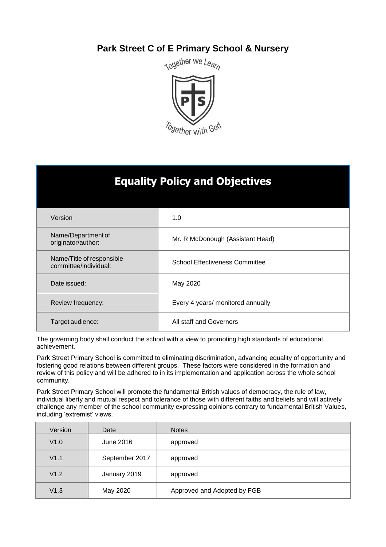# **Park Street C of E Primary School & Nursery**



# **Equality Policy and Objectives**

| Version                                            | 1.0                                   |
|----------------------------------------------------|---------------------------------------|
| Name/Department of<br>originator/author:           | Mr. R McDonough (Assistant Head)      |
| Name/Title of responsible<br>committee/individual: | <b>School Effectiveness Committee</b> |
| Date issued:                                       | May 2020                              |
| Review frequency:                                  | Every 4 years/ monitored annually     |
| Target audience:                                   | All staff and Governors               |

The governing body shall conduct the school with a view to promoting high standards of educational achievement.

Park Street Primary School is committed to eliminating discrimination, advancing equality of opportunity and fostering good relations between different groups. These factors were considered in the formation and review of this policy and will be adhered to in its implementation and application across the whole school community.

Park Street Primary School will promote the fundamental British values of democracy, the rule of law, individual liberty and mutual respect and tolerance of those with different faiths and beliefs and will actively challenge any member of the school community expressing opinions contrary to fundamental British Values, including 'extremist' views.

| Version | Date           | <b>Notes</b>                |
|---------|----------------|-----------------------------|
| V1.0    | June 2016      | approved                    |
| V1.1    | September 2017 | approved                    |
| V1.2    | January 2019   | approved                    |
| V1.3    | May 2020       | Approved and Adopted by FGB |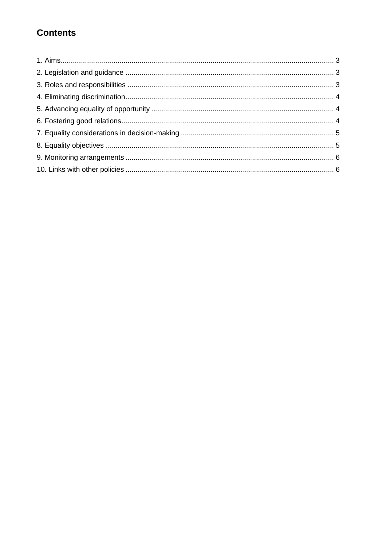# **Contents**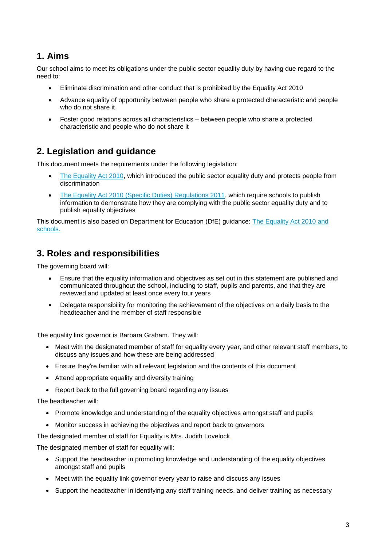## **1. Aims**

Our school aims to meet its obligations under the public sector equality duty by having due regard to the need to:

- Eliminate discrimination and other conduct that is prohibited by the Equality Act 2010
- Advance equality of opportunity between people who share a protected characteristic and people who do not share it
- Foster good relations across all characteristics between people who share a protected characteristic and people who do not share it

### **2. Legislation and guidance**

This document meets the requirements under the following legislation:

- [The Equality Act 2010,](http://www.legislation.gov.uk/ukpga/2010/15/contents) which introduced the public sector equality duty and protects people from discrimination
- [The Equality Act 2010 \(Specific Duties\) Regulations 2011,](http://www.legislation.gov.uk/uksi/2011/2260/contents/made) which require schools to publish information to demonstrate how they are complying with the public sector equality duty and to publish equality objectives

This document is also based on Department for Education (DfE) guidance: [The Equality Act 2010 and](https://www.gov.uk/government/uploads/system/uploads/attachment_data/file/315587/Equality_Act_Advice_Final.pdf)  [schools.](https://www.gov.uk/government/uploads/system/uploads/attachment_data/file/315587/Equality_Act_Advice_Final.pdf) 

### **3. Roles and responsibilities**

The governing board will:

- Ensure that the equality information and objectives as set out in this statement are published and communicated throughout the school, including to staff, pupils and parents, and that they are reviewed and updated at least once every four years
- Delegate responsibility for monitoring the achievement of the objectives on a daily basis to the headteacher and the member of staff responsible

The equality link governor is Barbara Graham. They will:

- Meet with the designated member of staff for equality every year, and other relevant staff members, to discuss any issues and how these are being addressed
- Ensure they're familiar with all relevant legislation and the contents of this document
- Attend appropriate equality and diversity training
- Report back to the full governing board regarding any issues

The headteacher will:

- Promote knowledge and understanding of the equality objectives amongst staff and pupils
- Monitor success in achieving the objectives and report back to governors

The designated member of staff for Equality is Mrs. Judith Lovelock.

The designated member of staff for equality will:

- Support the headteacher in promoting knowledge and understanding of the equality objectives amongst staff and pupils
- Meet with the equality link governor every year to raise and discuss any issues
- Support the headteacher in identifying any staff training needs, and deliver training as necessary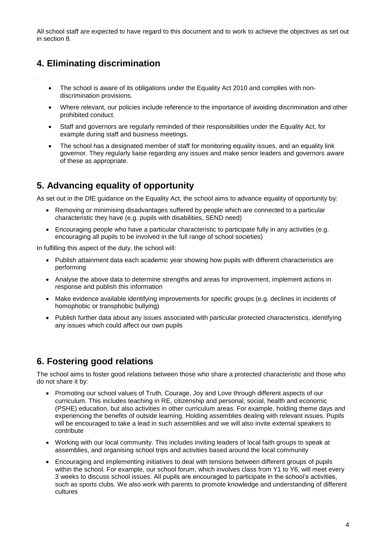All school staff are expected to have regard to this document and to work to achieve the objectives as set out in section 8.

### **4. Eliminating discrimination**

*.*

- The school is aware of its obligations under the Equality Act 2010 and complies with nondiscrimination provisions.
- Where relevant, our policies include reference to the importance of avoiding discrimination and other prohibited conduct.
- Staff and governors are regularly reminded of their responsibilities under the Equality Act, for example during staff and business meetings.
- The school has a designated member of staff for monitoring equality issues, and an equality link governor. They regularly liaise regarding any issues and make senior leaders and governors aware of these as appropriate.

## **5. Advancing equality of opportunity**

As set out in the DfE guidance on the Equality Act, the school aims to advance equality of opportunity by:

- Removing or minimising disadvantages suffered by people which are connected to a particular characteristic they have (e.g. pupils with disabilities, SEND need)
- Encouraging people who have a particular characteristic to participate fully in any activities (e.g. encouraging all pupils to be involved in the full range of school societies)

In fulfilling this aspect of the duty, the school will:

- Publish attainment data each academic year showing how pupils with different characteristics are performing
- Analyse the above data to determine strengths and areas for improvement, implement actions in response and publish this information
- Make evidence available identifying improvements for specific groups (e.g. declines in incidents of homophobic or transphobic bullying)
- Publish further data about any issues associated with particular protected characteristics, identifying any issues which could affect our own pupils

### **6. Fostering good relations**

The school aims to foster good relations between those who share a protected characteristic and those who do not share it by:

- Promoting our school values of Truth, Courage, Joy and Love through different aspects of our curriculum. This includes teaching in RE, citizenship and personal, social, health and economic (PSHE) education, but also activities in other curriculum areas. For example, holding theme days and experiencing the benefits of outside learning. Holding assemblies dealing with relevant issues. Pupils will be encouraged to take a lead in such assemblies and we will also invite external speakers to contribute
- Working with our local community. This includes inviting leaders of local faith groups to speak at assemblies, and organising school trips and activities based around the local community
- Encouraging and implementing initiatives to deal with tensions between different groups of pupils within the school. For example, our school forum, which involves class from Y1 to Y6, will meet every 3 weeks to discuss school issues. All pupils are encouraged to participate in the school's activities, such as sports clubs. We also work with parents to promote knowledge and understanding of different cultures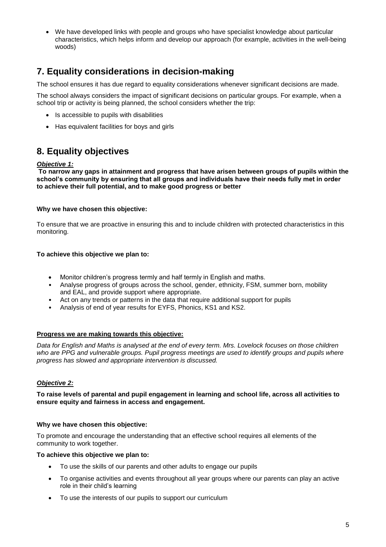We have developed links with people and groups who have specialist knowledge about particular characteristics, which helps inform and develop our approach (for example, activities in the well-being woods)

## **7. Equality considerations in decision-making**

The school ensures it has due regard to equality considerations whenever significant decisions are made.

The school always considers the impact of significant decisions on particular groups. For example, when a school trip or activity is being planned, the school considers whether the trip:

- Is accessible to pupils with disabilities
- Has equivalent facilities for boys and girls

### **8. Equality objectives**

#### *Objective 1:*

**To narrow any gaps in attainment and progress that have arisen between groups of pupils within the school's community by ensuring that all groups and individuals have their needs fully met in order to achieve their full potential, and to make good progress or better** 

### **Why we have chosen this objective:**

To ensure that we are proactive in ensuring this and to include children with protected characteristics in this monitoring.

### **To achieve this objective we plan to:**

- Monitor children's progress termly and half termly in English and maths.
- Analyse progress of groups across the school, gender, ethnicity, FSM, summer born, mobility and EAL, and provide support where appropriate.
- Act on any trends or patterns in the data that require additional support for pupils
- Analysis of end of year results for EYFS, Phonics, KS1 and KS2.

#### **Progress we are making towards this objective:**

*Data for English and Maths is analysed at the end of every term. Mrs. Lovelock focuses on those children who are PPG and vulnerable groups. Pupil progress meetings are used to identify groups and pupils where progress has slowed and appropriate intervention is discussed.*

### *Objective 2:*

**To raise levels of parental and pupil engagement in learning and school life, across all activities to ensure equity and fairness in access and engagement.**

#### **Why we have chosen this objective:**

To promote and encourage the understanding that an effective school requires all elements of the community to work together.

#### **To achieve this objective we plan to:**

- To use the skills of our parents and other adults to engage our pupils
- To organise activities and events throughout all year groups where our parents can play an active role in their child's learning
- To use the interests of our pupils to support our curriculum